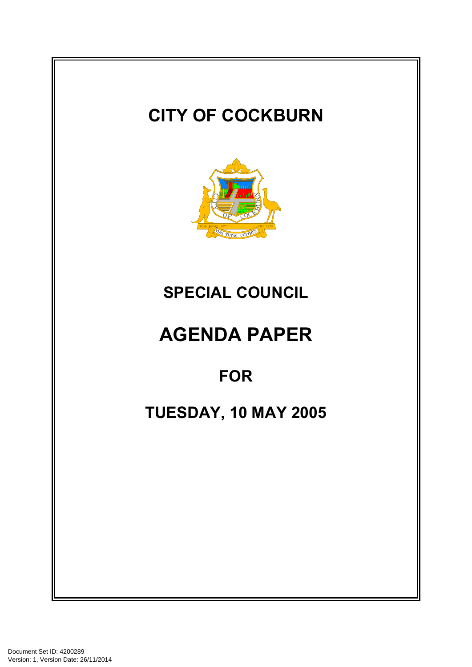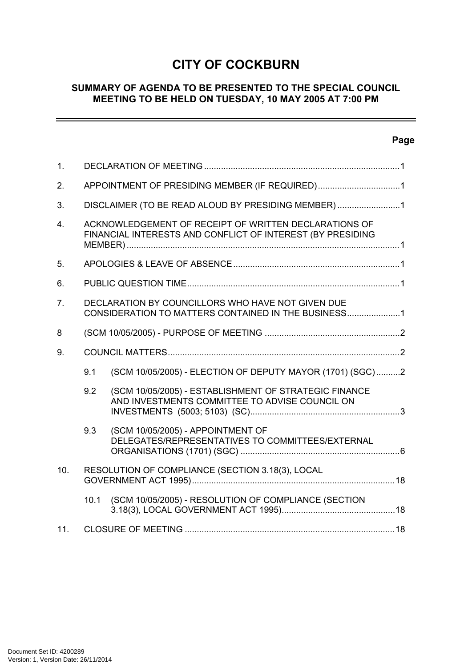# **CITY OF COCKBURN**

# **SUMMARY OF AGENDA TO BE PRESENTED TO THE SPECIAL COUNCIL MEETING TO BE HELD ON TUESDAY, 10 MAY 2005 AT 7:00 PM**

# **Page**

 $\sim$ 

| 1.             |                                                                                                          |                                                                                                                     |  |
|----------------|----------------------------------------------------------------------------------------------------------|---------------------------------------------------------------------------------------------------------------------|--|
| 2.             |                                                                                                          | APPOINTMENT OF PRESIDING MEMBER (IF REQUIRED)1                                                                      |  |
| 3.             |                                                                                                          | DISCLAIMER (TO BE READ ALOUD BY PRESIDING MEMBER)1                                                                  |  |
| 4.             |                                                                                                          | ACKNOWLEDGEMENT OF RECEIPT OF WRITTEN DECLARATIONS OF<br>FINANCIAL INTERESTS AND CONFLICT OF INTEREST (BY PRESIDING |  |
| 5.             |                                                                                                          |                                                                                                                     |  |
| 6.             |                                                                                                          |                                                                                                                     |  |
| 7 <sub>1</sub> | DECLARATION BY COUNCILLORS WHO HAVE NOT GIVEN DUE<br>CONSIDERATION TO MATTERS CONTAINED IN THE BUSINESS1 |                                                                                                                     |  |
| 8              |                                                                                                          |                                                                                                                     |  |
| 9.             |                                                                                                          |                                                                                                                     |  |
|                | 9.1                                                                                                      | (SCM 10/05/2005) - ELECTION OF DEPUTY MAYOR (1701) (SGC)2                                                           |  |
|                | 9.2                                                                                                      | (SCM 10/05/2005) - ESTABLISHMENT OF STRATEGIC FINANCE<br>AND INVESTMENTS COMMITTEE TO ADVISE COUNCIL ON             |  |
|                | 9.3                                                                                                      | (SCM 10/05/2005) - APPOINTMENT OF<br>DELEGATES/REPRESENTATIVES TO COMMITTEES/EXTERNAL                               |  |
| 10.            |                                                                                                          | RESOLUTION OF COMPLIANCE (SECTION 3.18(3), LOCAL                                                                    |  |
|                | 10.1                                                                                                     | (SCM 10/05/2005) - RESOLUTION OF COMPLIANCE (SECTION                                                                |  |
| 11.            |                                                                                                          |                                                                                                                     |  |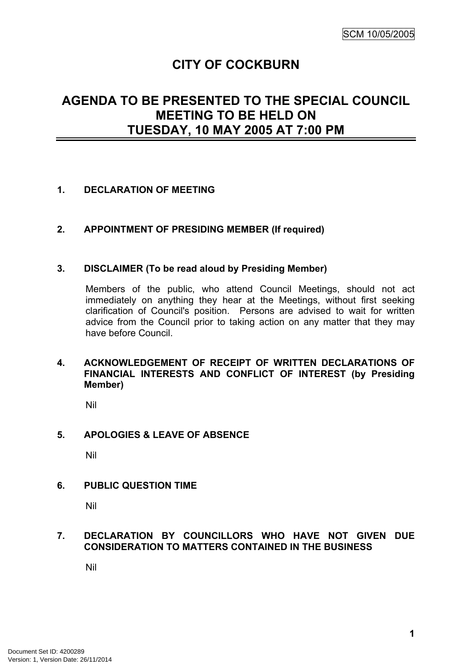# **CITY OF COCKBURN**

# **AGENDA TO BE PRESENTED TO THE SPECIAL COUNCIL MEETING TO BE HELD ON TUESDAY, 10 MAY 2005 AT 7:00 PM**

# <span id="page-2-0"></span>**1. DECLARATION OF MEETING**

#### <span id="page-2-1"></span>**2. APPOINTMENT OF PRESIDING MEMBER (If required)**

#### <span id="page-2-2"></span>**3. DISCLAIMER (To be read aloud by Presiding Member)**

Members of the public, who attend Council Meetings, should not act immediately on anything they hear at the Meetings, without first seeking clarification of Council's position. Persons are advised to wait for written advice from the Council prior to taking action on any matter that they may have before Council.

#### <span id="page-2-3"></span>**4. ACKNOWLEDGEMENT OF RECEIPT OF WRITTEN DECLARATIONS OF FINANCIAL INTERESTS AND CONFLICT OF INTEREST (by Presiding Member)**

Nil

## <span id="page-2-4"></span>**5. APOLOGIES & LEAVE OF ABSENCE**

Nil

#### <span id="page-2-5"></span>**6. PUBLIC QUESTION TIME**

Nil

#### <span id="page-2-6"></span>**7. DECLARATION BY COUNCILLORS WHO HAVE NOT GIVEN DUE CONSIDERATION TO MATTERS CONTAINED IN THE BUSINESS**

Nil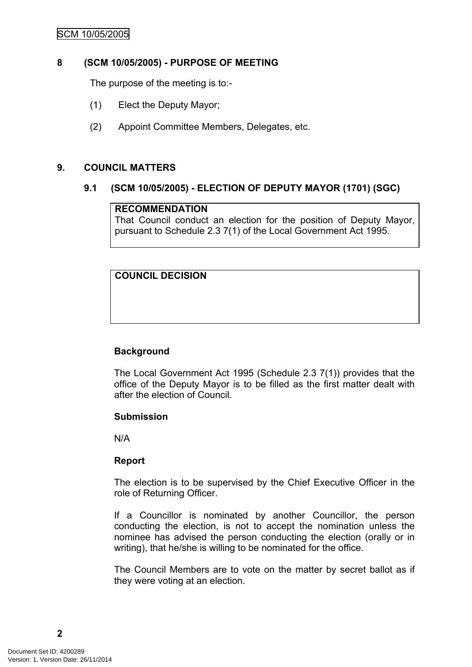## SCM 10/05/2005

#### <span id="page-3-0"></span>**8 (SCM 10/05/2005) - PURPOSE OF MEETING**

The purpose of the meeting is to:-

- (1) Elect the Deputy Mayor;
- (2) Appoint Committee Members, Delegates, etc.

#### <span id="page-3-1"></span>**9. COUNCIL MATTERS**

#### <span id="page-3-2"></span>**9.1 (SCM 10/05/2005) - ELECTION OF DEPUTY MAYOR (1701) (SGC)**

#### **RECOMMENDATION**

That Council conduct an election for the position of Deputy Mayor, pursuant to Schedule 2.3 7(1) of the Local Government Act 1995.

# **COUNCIL DECISION**

#### **Background**

The Local Government Act 1995 (Schedule 2.3 7(1)) provides that the office of the Deputy Mayor is to be filled as the first matter dealt with after the election of Council.

#### **Submission**

N/A

#### **Report**

The election is to be supervised by the Chief Executive Officer in the role of Returning Officer.

If a Councillor is nominated by another Councillor, the person conducting the election, is not to accept the nomination unless the nominee has advised the person conducting the election (orally or in writing), that he/she is willing to be nominated for the office.

The Council Members are to vote on the matter by secret ballot as if they were voting at an election.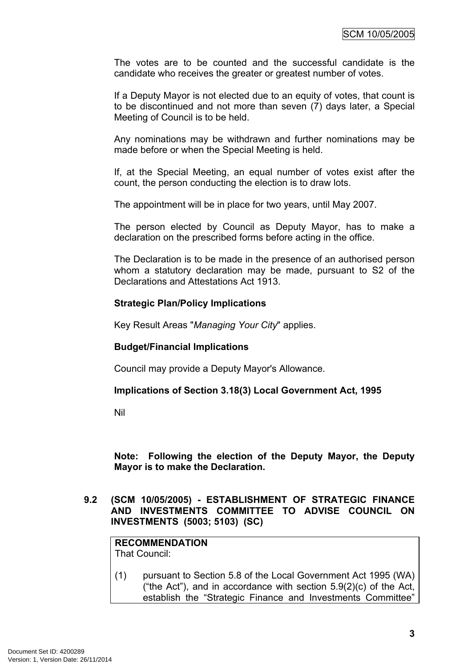The votes are to be counted and the successful candidate is the candidate who receives the greater or greatest number of votes.

If a Deputy Mayor is not elected due to an equity of votes, that count is to be discontinued and not more than seven (7) days later, a Special Meeting of Council is to be held.

Any nominations may be withdrawn and further nominations may be made before or when the Special Meeting is held.

If, at the Special Meeting, an equal number of votes exist after the count, the person conducting the election is to draw lots.

The appointment will be in place for two years, until May 2007.

The person elected by Council as Deputy Mayor, has to make a declaration on the prescribed forms before acting in the office.

The Declaration is to be made in the presence of an authorised person whom a statutory declaration may be made, pursuant to S2 of the Declarations and Attestations Act 1913.

#### **Strategic Plan/Policy Implications**

Key Result Areas "*Managing Your City*" applies.

#### **Budget/Financial Implications**

Council may provide a Deputy Mayor's Allowance.

#### **Implications of Section 3.18(3) Local Government Act, 1995**

Nil

**Note: Following the election of the Deputy Mayor, the Deputy Mayor is to make the Declaration.**

<span id="page-4-0"></span>**9.2 (SCM 10/05/2005) - ESTABLISHMENT OF STRATEGIC FINANCE AND INVESTMENTS COMMITTEE TO ADVISE COUNCIL ON INVESTMENTS (5003; 5103) (SC)**

**RECOMMENDATION** That Council:

(1) pursuant to Section 5.8 of the Local Government Act 1995 (WA) ("the Act"), and in accordance with section  $5.9(2)(c)$  of the Act, establish the "Strategic Finance and Investments Committee"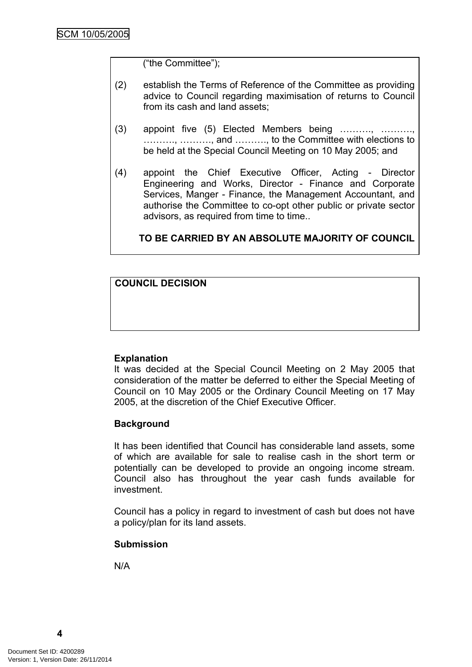("the Committee");

- (2) establish the Terms of Reference of the Committee as providing advice to Council regarding maximisation of returns to Council from its cash and land assets;
- (3) appoint five (5) Elected Members being ………., ………., ………., ………., and ………., to the Committee with elections to be held at the Special Council Meeting on 10 May 2005; and
- (4) appoint the Chief Executive Officer, Acting Director Engineering and Works, Director - Finance and Corporate Services, Manger - Finance, the Management Accountant, and authorise the Committee to co-opt other public or private sector advisors, as required from time to time..

**TO BE CARRIED BY AN ABSOLUTE MAJORITY OF COUNCIL**

**COUNCIL DECISION**

#### **Explanation**

It was decided at the Special Council Meeting on 2 May 2005 that consideration of the matter be deferred to either the Special Meeting of Council on 10 May 2005 or the Ordinary Council Meeting on 17 May 2005, at the discretion of the Chief Executive Officer.

#### **Background**

It has been identified that Council has considerable land assets, some of which are available for sale to realise cash in the short term or potentially can be developed to provide an ongoing income stream. Council also has throughout the year cash funds available for investment.

Council has a policy in regard to investment of cash but does not have a policy/plan for its land assets.

#### **Submission**

N/A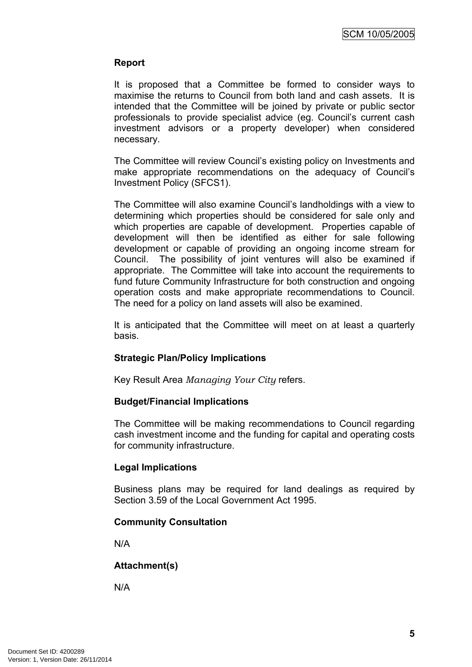# **Report**

It is proposed that a Committee be formed to consider ways to maximise the returns to Council from both land and cash assets. It is intended that the Committee will be joined by private or public sector professionals to provide specialist advice (eg. Council's current cash investment advisors or a property developer) when considered necessary.

The Committee will review Council's existing policy on Investments and make appropriate recommendations on the adequacy of Council's Investment Policy (SFCS1).

The Committee will also examine Council's landholdings with a view to determining which properties should be considered for sale only and which properties are capable of development. Properties capable of development will then be identified as either for sale following development or capable of providing an ongoing income stream for Council. The possibility of joint ventures will also be examined if appropriate. The Committee will take into account the requirements to fund future Community Infrastructure for both construction and ongoing operation costs and make appropriate recommendations to Council. The need for a policy on land assets will also be examined.

It is anticipated that the Committee will meet on at least a quarterly basis.

# **Strategic Plan/Policy Implications**

Key Result Area *Managing Your City* refers.

#### **Budget/Financial Implications**

The Committee will be making recommendations to Council regarding cash investment income and the funding for capital and operating costs for community infrastructure.

#### **Legal Implications**

Business plans may be required for land dealings as required by Section 3.59 of the Local Government Act 1995.

#### **Community Consultation**

N/A

#### **Attachment(s)**

N/A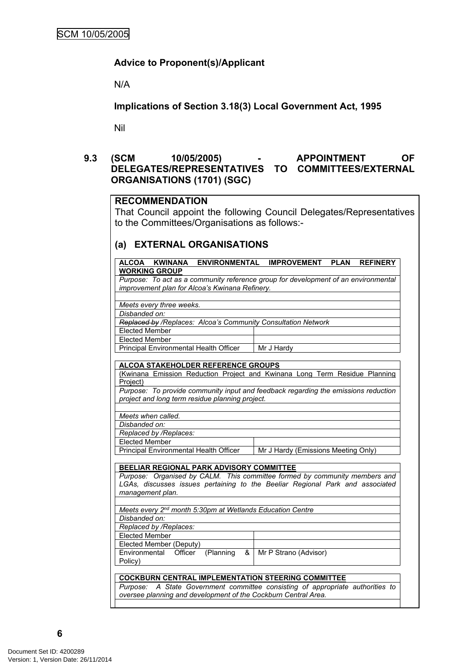# **Advice to Proponent(s)/Applicant**

N/A

**Implications of Section 3.18(3) Local Government Act, 1995**

Nil

# <span id="page-7-0"></span>**9.3 (SCM 10/05/2005) - APPOINTMENT OF DELEGATES/REPRESENTATIVES TO COMMITTEES/EXTERNAL ORGANISATIONS (1701) (SGC)**

#### **RECOMMENDATION**

That Council appoint the following Council Delegates/Representatives to the Committees/Organisations as follows:-

#### **(a) EXTERNAL ORGANISATIONS**

| <b>ALCOA</b><br><b>KWINANA</b><br><b>ENVIRONMENTAL</b>                        | <b>IMPROVEMENT</b><br><b>PLAN</b><br><b>REFINERY</b>                               |  |
|-------------------------------------------------------------------------------|------------------------------------------------------------------------------------|--|
| <b>WORKING GROUP</b>                                                          |                                                                                    |  |
|                                                                               | Purpose: To act as a community reference group for development of an environmental |  |
| improvement plan for Alcoa's Kwinana Refinery.                                |                                                                                    |  |
|                                                                               |                                                                                    |  |
| Meets every three weeks.                                                      |                                                                                    |  |
| Disbanded on:                                                                 |                                                                                    |  |
| Replaced by /Replaces: Alcoa's Community Consultation Network                 |                                                                                    |  |
| <b>Elected Member</b>                                                         |                                                                                    |  |
| <b>Elected Member</b>                                                         |                                                                                    |  |
| Principal Environmental Health Officer                                        | Mr J Hardy                                                                         |  |
|                                                                               |                                                                                    |  |
| <b>ALCOA STAKEHOLDER REFERENCE GROUPS</b>                                     |                                                                                    |  |
|                                                                               | (Kwinana Emission Reduction Project and Kwinana Long Term Residue Planning         |  |
| Project)                                                                      |                                                                                    |  |
|                                                                               | Purpose: To provide community input and feedback regarding the emissions reduction |  |
| project and long term residue planning project.                               |                                                                                    |  |
|                                                                               |                                                                                    |  |
| Meets when called.                                                            |                                                                                    |  |
| Disbanded on:                                                                 |                                                                                    |  |
| Replaced by /Replaces:                                                        |                                                                                    |  |
| Elected Member                                                                |                                                                                    |  |
| Principal Environmental Health Officer                                        | Mr J Hardy (Emissions Meeting Only)                                                |  |
|                                                                               |                                                                                    |  |
| <b>BEELIAR REGIONAL PARK ADVISORY COMMITTEE</b>                               |                                                                                    |  |
|                                                                               | Purpose: Organised by CALM. This committee formed by community members and         |  |
| LGAs, discusses issues pertaining to the Beeliar Regional Park and associated |                                                                                    |  |
| management plan.                                                              |                                                                                    |  |
|                                                                               |                                                                                    |  |
| Meets every 2nd month 5:30pm at Wetlands Education Centre                     |                                                                                    |  |
| Disbanded on:                                                                 |                                                                                    |  |
| Replaced by /Replaces:                                                        |                                                                                    |  |
| <b>Elected Member</b>                                                         |                                                                                    |  |
| Elected Member (Deputy)                                                       |                                                                                    |  |
| (Planning<br>Environmental<br>Officer<br>&                                    | Mr P Strano (Advisor)                                                              |  |
| Policy)                                                                       |                                                                                    |  |
|                                                                               |                                                                                    |  |
| <b>COCKBURN CENTRAL IMPLEMENTATION STEERING COMMITTEE</b>                     |                                                                                    |  |
| Purpose:                                                                      | A State Government committee consisting of appropriate authorities to              |  |
| oversee planning and development of the Cockburn Central Area.                |                                                                                    |  |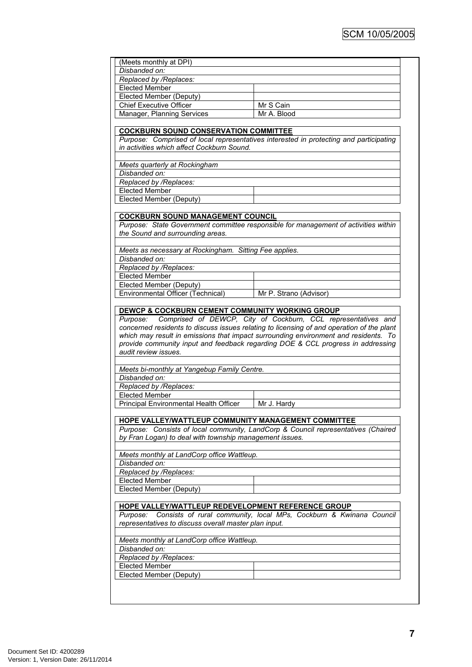| (Meets monthly at DPI)                                                                                         |                                                                                                                                                                                                                                                                     |
|----------------------------------------------------------------------------------------------------------------|---------------------------------------------------------------------------------------------------------------------------------------------------------------------------------------------------------------------------------------------------------------------|
| Disbanded on:                                                                                                  |                                                                                                                                                                                                                                                                     |
| Replaced by /Replaces:                                                                                         |                                                                                                                                                                                                                                                                     |
| <b>Elected Member</b>                                                                                          |                                                                                                                                                                                                                                                                     |
| Elected Member (Deputy)                                                                                        |                                                                                                                                                                                                                                                                     |
| <b>Chief Executive Officer</b>                                                                                 | Mr S Cain                                                                                                                                                                                                                                                           |
| Manager, Planning Services                                                                                     | Mr A. Blood                                                                                                                                                                                                                                                         |
|                                                                                                                |                                                                                                                                                                                                                                                                     |
| <b>COCKBURN SOUND CONSERVATION COMMITTEE</b>                                                                   |                                                                                                                                                                                                                                                                     |
|                                                                                                                | Purpose: Comprised of local representatives interested in protecting and participating                                                                                                                                                                              |
| in activities which affect Cockburn Sound.                                                                     |                                                                                                                                                                                                                                                                     |
|                                                                                                                |                                                                                                                                                                                                                                                                     |
| Meets quarterly at Rockingham                                                                                  |                                                                                                                                                                                                                                                                     |
| Disbanded on:                                                                                                  |                                                                                                                                                                                                                                                                     |
| Replaced by /Replaces:                                                                                         |                                                                                                                                                                                                                                                                     |
| <b>Elected Member</b>                                                                                          |                                                                                                                                                                                                                                                                     |
| Elected Member (Deputy)                                                                                        |                                                                                                                                                                                                                                                                     |
|                                                                                                                |                                                                                                                                                                                                                                                                     |
|                                                                                                                |                                                                                                                                                                                                                                                                     |
| <b>COCKBURN SOUND MANAGEMENT COUNCIL</b>                                                                       |                                                                                                                                                                                                                                                                     |
|                                                                                                                | Purpose: State Government committee responsible for management of activities within                                                                                                                                                                                 |
| the Sound and surrounding areas.                                                                               |                                                                                                                                                                                                                                                                     |
|                                                                                                                |                                                                                                                                                                                                                                                                     |
| Meets as necessary at Rockingham. Sitting Fee applies.                                                         |                                                                                                                                                                                                                                                                     |
| Disbanded on:                                                                                                  |                                                                                                                                                                                                                                                                     |
| Replaced by /Replaces:                                                                                         |                                                                                                                                                                                                                                                                     |
| <b>Elected Member</b>                                                                                          |                                                                                                                                                                                                                                                                     |
| <b>Elected Member (Deputy)</b>                                                                                 |                                                                                                                                                                                                                                                                     |
|                                                                                                                | Mr P. Strano (Advisor)                                                                                                                                                                                                                                              |
| Environmental Officer (Technical)<br>DEWCP & COCKBURN CEMENT COMMUNITY WORKING GROUP<br>Purpose:               | Comprised of DEWCP, City of Cockburn, CCL representatives and                                                                                                                                                                                                       |
| audit review issues.                                                                                           | concerned residents to discuss issues relating to licensing of and operation of the plant<br>which may result in emissions that impact surrounding environment and residents. To<br>provide community input and feedback regarding DOE & CCL progress in addressing |
|                                                                                                                |                                                                                                                                                                                                                                                                     |
| Meets bi-monthly at Yangebup Family Centre.                                                                    |                                                                                                                                                                                                                                                                     |
| Disbanded on:                                                                                                  |                                                                                                                                                                                                                                                                     |
| Replaced by /Replaces:                                                                                         |                                                                                                                                                                                                                                                                     |
| <b>Elected Member</b>                                                                                          |                                                                                                                                                                                                                                                                     |
| Principal Environmental Health Officer                                                                         | Mr J. Hardy                                                                                                                                                                                                                                                         |
|                                                                                                                |                                                                                                                                                                                                                                                                     |
| HOPE VALLEY/WATTLEUP COMMUNITY MANAGEMENT COMMITTEE<br>by Fran Logan) to deal with township management issues. | Purpose: Consists of local community, LandCorp & Council representatives (Chaired                                                                                                                                                                                   |
|                                                                                                                |                                                                                                                                                                                                                                                                     |
| Meets monthly at LandCorp office Wattleup.                                                                     |                                                                                                                                                                                                                                                                     |
| Disbanded on:                                                                                                  |                                                                                                                                                                                                                                                                     |
| Replaced by /Replaces:                                                                                         |                                                                                                                                                                                                                                                                     |
| <b>Elected Member</b>                                                                                          |                                                                                                                                                                                                                                                                     |
| Elected Member (Deputy)                                                                                        |                                                                                                                                                                                                                                                                     |
|                                                                                                                |                                                                                                                                                                                                                                                                     |
| HOPE VALLEY/WATTLEUP REDEVELOPMENT REFERENCE GROUP                                                             |                                                                                                                                                                                                                                                                     |
|                                                                                                                | Purpose: Consists of rural community, local MPs, Cockburn & Kwinana Council                                                                                                                                                                                         |
| representatives to discuss overall master plan input.                                                          |                                                                                                                                                                                                                                                                     |
|                                                                                                                |                                                                                                                                                                                                                                                                     |
| Meets monthly at LandCorp office Wattleup.                                                                     |                                                                                                                                                                                                                                                                     |
| Disbanded on:                                                                                                  |                                                                                                                                                                                                                                                                     |
| Replaced by /Replaces:                                                                                         |                                                                                                                                                                                                                                                                     |
| <b>Elected Member</b><br>Elected Member (Deputy)                                                               |                                                                                                                                                                                                                                                                     |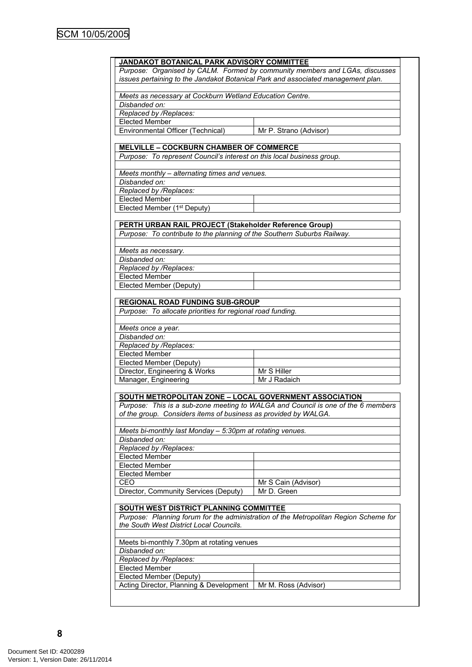| JANDAKOT BOTANICAL PARK ADVISORY COMMITTEE                                       |                                                                                      |  |
|----------------------------------------------------------------------------------|--------------------------------------------------------------------------------------|--|
| Purpose: Organised by CALM. Formed by community members and LGAs, discusses      |                                                                                      |  |
|                                                                                  |                                                                                      |  |
| issues pertaining to the Jandakot Botanical Park and associated management plan. |                                                                                      |  |
|                                                                                  |                                                                                      |  |
| Meets as necessary at Cockburn Wetland Education Centre.                         |                                                                                      |  |
| Disbanded on:                                                                    |                                                                                      |  |
| Replaced by /Replaces:                                                           |                                                                                      |  |
| <b>Elected Member</b>                                                            |                                                                                      |  |
|                                                                                  |                                                                                      |  |
| Environmental Officer (Technical)                                                | Mr P. Strano (Advisor)                                                               |  |
| <b>MELVILLE - COCKBURN CHAMBER OF COMMERCE</b>                                   |                                                                                      |  |
| Purpose: To represent Council's interest on this local business group.           |                                                                                      |  |
|                                                                                  |                                                                                      |  |
| Meets monthly - alternating times and venues.                                    |                                                                                      |  |
| Disbanded on:                                                                    |                                                                                      |  |
|                                                                                  |                                                                                      |  |
| Replaced by /Replaces:                                                           |                                                                                      |  |
| <b>Elected Member</b>                                                            |                                                                                      |  |
| Elected Member (1 <sup>st</sup> Deputy)                                          |                                                                                      |  |
|                                                                                  |                                                                                      |  |
| PERTH URBAN RAIL PROJECT (Stakeholder Reference Group)                           |                                                                                      |  |
| Purpose: To contribute to the planning of the Southern Suburbs Railway.          |                                                                                      |  |
|                                                                                  |                                                                                      |  |
| Meets as necessary.                                                              |                                                                                      |  |
| Disbanded on:                                                                    |                                                                                      |  |
| Replaced by /Replaces:                                                           |                                                                                      |  |
|                                                                                  |                                                                                      |  |
| <b>Elected Member</b>                                                            |                                                                                      |  |
| Elected Member (Deputy)                                                          |                                                                                      |  |
|                                                                                  |                                                                                      |  |
| <b>REGIONAL ROAD FUNDING SUB-GROUP</b>                                           |                                                                                      |  |
| Purpose: To allocate priorities for regional road funding.                       |                                                                                      |  |
|                                                                                  |                                                                                      |  |
| Meets once a year.                                                               |                                                                                      |  |
| Disbanded on:                                                                    |                                                                                      |  |
| Replaced by /Replaces:                                                           |                                                                                      |  |
| <b>Elected Member</b>                                                            |                                                                                      |  |
| Elected Member (Deputy)                                                          |                                                                                      |  |
|                                                                                  |                                                                                      |  |
| Director, Engineering & Works                                                    | Mr S Hiller                                                                          |  |
| Manager, Engineering                                                             | Mr J Radaich                                                                         |  |
|                                                                                  |                                                                                      |  |
| SOUTH METROPOLITAN ZONE - LOCAL GOVERNMENT ASSOCIATION                           |                                                                                      |  |
|                                                                                  | Purpose: This is a sub-zone meeting to WALGA and Council is one of the 6 members     |  |
| of the group. Considers items of business as provided by WALGA.                  |                                                                                      |  |
|                                                                                  |                                                                                      |  |
| Meets bi-monthly last Monday - 5:30pm at rotating venues.                        |                                                                                      |  |
| Disbanded on:                                                                    |                                                                                      |  |
| Replaced by /Replaces:                                                           |                                                                                      |  |
| <b>Elected Member</b>                                                            |                                                                                      |  |
| <b>Elected Member</b>                                                            |                                                                                      |  |
|                                                                                  |                                                                                      |  |
| <b>Elected Member</b>                                                            |                                                                                      |  |
| CEO                                                                              | Mr S Cain (Advisor)                                                                  |  |
| Director, Community Services (Deputy)                                            | Mr D. Green                                                                          |  |
|                                                                                  |                                                                                      |  |
| SOUTH WEST DISTRICT PLANNING COMMITTEE                                           |                                                                                      |  |
|                                                                                  | Purpose: Planning forum for the administration of the Metropolitan Region Scheme for |  |
| the South West District Local Councils.                                          |                                                                                      |  |
|                                                                                  |                                                                                      |  |
| Meets bi-monthly 7.30pm at rotating venues                                       |                                                                                      |  |
| Disbanded on:                                                                    |                                                                                      |  |
|                                                                                  |                                                                                      |  |
| Replaced by /Replaces:                                                           |                                                                                      |  |
| <b>Elected Member</b>                                                            |                                                                                      |  |
| <b>Elected Member (Deputy)</b>                                                   |                                                                                      |  |
| Acting Director, Planning & Development                                          | Mr M. Ross (Advisor)                                                                 |  |
|                                                                                  |                                                                                      |  |
|                                                                                  |                                                                                      |  |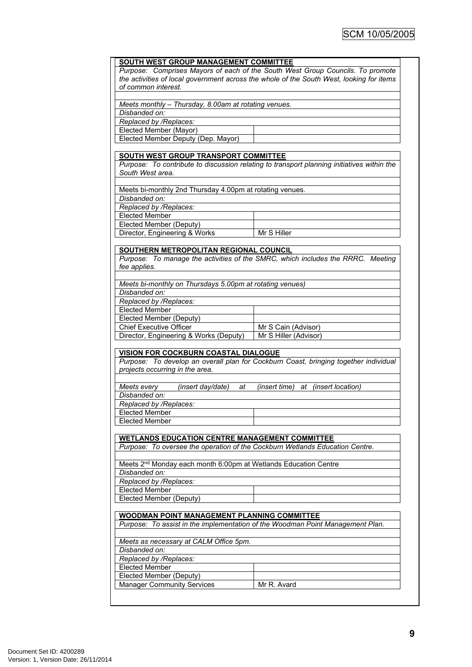|                                                                                          | SOUTH WEST GROUP MANAGEMENT COMMITTEE                                                      |  |
|------------------------------------------------------------------------------------------|--------------------------------------------------------------------------------------------|--|
| Purpose: Comprises Mayors of each of the South West Group Councils. To promote           |                                                                                            |  |
| the activities of local government across the whole of the South West, looking for items |                                                                                            |  |
| of common interest.                                                                      |                                                                                            |  |
|                                                                                          |                                                                                            |  |
| Meets monthly - Thursday, 8.00am at rotating venues.                                     |                                                                                            |  |
| Disbanded on:                                                                            |                                                                                            |  |
| Replaced by /Replaces:                                                                   |                                                                                            |  |
| Elected Member (Mayor)                                                                   |                                                                                            |  |
| Elected Member Deputy (Dep. Mayor)                                                       |                                                                                            |  |
|                                                                                          |                                                                                            |  |
| <b>SOUTH WEST GROUP TRANSPORT COMMITTEE</b>                                              |                                                                                            |  |
|                                                                                          | Purpose: To contribute to discussion relating to transport planning initiatives within the |  |
| South West area.                                                                         |                                                                                            |  |
|                                                                                          |                                                                                            |  |
| Meets bi-monthly 2nd Thursday 4.00pm at rotating venues.                                 |                                                                                            |  |
| Disbanded on:                                                                            |                                                                                            |  |
| Replaced by /Replaces:                                                                   |                                                                                            |  |
| <b>Elected Member</b>                                                                    |                                                                                            |  |
| Elected Member (Deputy)                                                                  |                                                                                            |  |
| Director, Engineering & Works                                                            | Mr S Hiller                                                                                |  |
|                                                                                          |                                                                                            |  |
| SOUTHERN METROPOLITAN REGIONAL COUNCIL                                                   |                                                                                            |  |
|                                                                                          | Purpose: To manage the activities of the SMRC, which includes the RRRC. Meeting            |  |
| fee applies.                                                                             |                                                                                            |  |
|                                                                                          |                                                                                            |  |
| Meets bi-monthly on Thursdays 5.00pm at rotating venues)                                 |                                                                                            |  |
| Disbanded on:                                                                            |                                                                                            |  |
| Replaced by /Replaces:<br><b>Elected Member</b>                                          |                                                                                            |  |
|                                                                                          |                                                                                            |  |
| Elected Member (Deputy)<br><b>Chief Executive Officer</b>                                |                                                                                            |  |
|                                                                                          | Mr S Cain (Advisor)<br>Mr S Hiller (Advisor)                                               |  |
| Director, Engineering & Works (Deputy)                                                   |                                                                                            |  |
| <b>VISION FOR COCKBURN COASTAL DIALOGUE</b>                                              |                                                                                            |  |
|                                                                                          |                                                                                            |  |
|                                                                                          |                                                                                            |  |
|                                                                                          | Purpose: To develop an overall plan for Cockburn Coast, bringing together individual       |  |
| projects occurring in the area.                                                          |                                                                                            |  |
|                                                                                          |                                                                                            |  |
| Meets every<br>(insert day/date)<br>at<br>Disbanded on:                                  | (insert time) at (insert location)                                                         |  |
|                                                                                          |                                                                                            |  |
| Replaced by /Replaces:                                                                   |                                                                                            |  |
| Elected Member<br><b>Elected Member</b>                                                  |                                                                                            |  |
|                                                                                          |                                                                                            |  |
| <b>WETLANDS EDUCATION CENTRE MANAGEMENT COMMITTEE</b>                                    |                                                                                            |  |
| Purpose: To oversee the operation of the Cockburn Wetlands Education Centre.             |                                                                                            |  |
|                                                                                          |                                                                                            |  |
| Meets 2 <sup>nd</sup> Monday each month 6:00pm at Wetlands Education Centre              |                                                                                            |  |
| Disbanded on:                                                                            |                                                                                            |  |
| Replaced by /Replaces:                                                                   |                                                                                            |  |
| <b>Elected Member</b>                                                                    |                                                                                            |  |
| <b>Elected Member (Deputy)</b>                                                           |                                                                                            |  |
|                                                                                          |                                                                                            |  |
| WOODMAN POINT MANAGEMENT PLANNING COMMITTEE                                              |                                                                                            |  |
|                                                                                          | Purpose: To assist in the implementation of the Woodman Point Management Plan.             |  |
|                                                                                          |                                                                                            |  |
| Meets as necessary at CALM Office 5pm.                                                   |                                                                                            |  |
| Disbanded on:                                                                            |                                                                                            |  |
| Replaced by /Replaces:                                                                   |                                                                                            |  |
| <b>Elected Member</b>                                                                    |                                                                                            |  |
| Elected Member (Deputy)                                                                  |                                                                                            |  |
| <b>Manager Community Services</b>                                                        | Mr R. Avard                                                                                |  |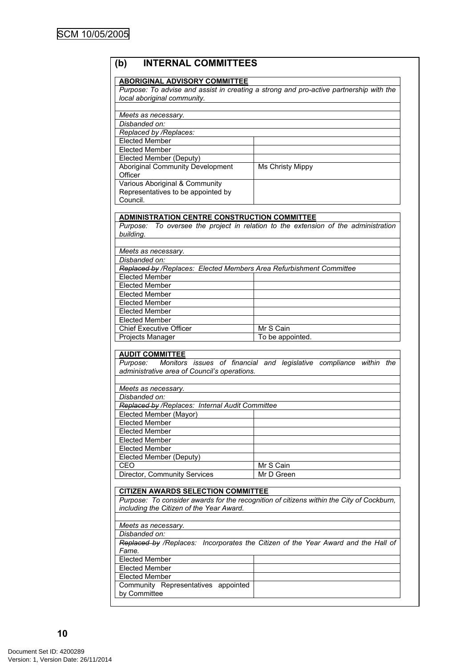# **(b) INTERNAL COMMITTEES**

#### **ABORIGINAL ADVISORY COMMITTEE**

*Purpose: To advise and assist in creating a strong and pro-active partnership with the local aboriginal community.*

| Meets as necessary.                     |                         |
|-----------------------------------------|-------------------------|
| Disbanded on:                           |                         |
| Replaced by /Replaces:                  |                         |
| Elected Member                          |                         |
| <b>Elected Member</b>                   |                         |
| Elected Member (Deputy)                 |                         |
| <b>Aboriginal Community Development</b> | <b>Ms Christy Mippy</b> |
| Officer                                 |                         |
| Various Aboriginal & Community          |                         |
| Representatives to be appointed by      |                         |
| Council.                                |                         |

#### **ADMINISTRATION CENTRE CONSTRUCTION COMMITTEE**

*Purpose: To oversee the project in relation to the extension of the administration building.*

*Meets as necessary.*

| Disbanded on:                                                       |                  |  |
|---------------------------------------------------------------------|------------------|--|
| Replaced by /Replaces: Elected Members Area Refurbishment Committee |                  |  |
| <b>Elected Member</b>                                               |                  |  |
| <b>Elected Member</b>                                               |                  |  |
| <b>Elected Member</b>                                               |                  |  |
| <b>Elected Member</b>                                               |                  |  |
| <b>Elected Member</b>                                               |                  |  |
| <b>Elected Member</b>                                               |                  |  |
| <b>Chief Executive Officer</b>                                      | Mr S Cain        |  |
| <b>Projects Manager</b>                                             | To be appointed. |  |
|                                                                     |                  |  |

# **AUDIT COMMITTEE**<br>Purpose: Monitors

*Purpose: Monitors issues of financial and legislative compliance within the administrative area of Council's operations.*

| Meets as necessary.                             |            |  |
|-------------------------------------------------|------------|--|
| Disbanded on:                                   |            |  |
| Replaced by /Replaces: Internal Audit Committee |            |  |
| Elected Member (Mayor)                          |            |  |
| <b>Elected Member</b>                           |            |  |
| <b>Elected Member</b>                           |            |  |
| <b>Elected Member</b>                           |            |  |
| <b>Elected Member</b>                           |            |  |
| Elected Member (Deputy)                         |            |  |
| CEO                                             | Mr S Cain  |  |
| Director, Community Services                    | Mr D Green |  |

#### **CITIZEN AWARDS SELECTION COMMITTEE**

*Purpose: To consider awards for the recognition of citizens within the City of Cockburn, including the Citizen of the Year Award.*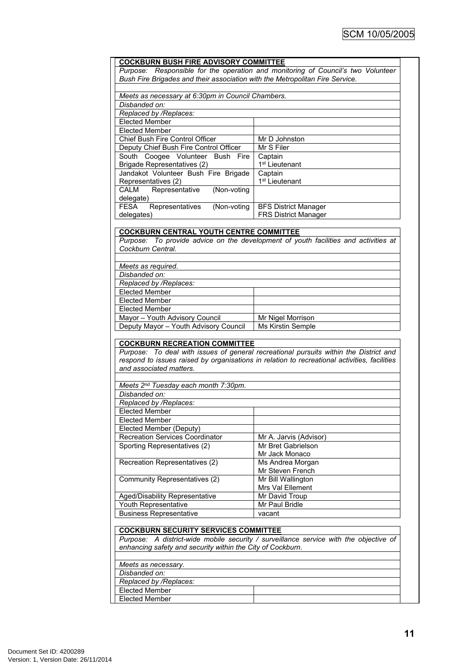| <b>COCKBURN BUSH FIRE ADVISORY COMMITTEE</b><br>Bush Fire Brigades and their association with the Metropolitan Fire Service.                                        | Purpose: Responsible for the operation and monitoring of Council's two Volunteer             |
|---------------------------------------------------------------------------------------------------------------------------------------------------------------------|----------------------------------------------------------------------------------------------|
| Meets as necessary at 6:30pm in Council Chambers.                                                                                                                   |                                                                                              |
| Disbanded on:                                                                                                                                                       |                                                                                              |
| Replaced by /Replaces:                                                                                                                                              |                                                                                              |
| <b>Elected Member</b>                                                                                                                                               |                                                                                              |
| <b>Elected Member</b>                                                                                                                                               |                                                                                              |
|                                                                                                                                                                     |                                                                                              |
| Chief Bush Fire Control Officer                                                                                                                                     | Mr D Johnston                                                                                |
| Deputy Chief Bush Fire Control Officer                                                                                                                              | Mr S Filer                                                                                   |
| South Coogee Volunteer Bush Fire                                                                                                                                    | Captain                                                                                      |
| Brigade Representatives (2)                                                                                                                                         | 1 <sup>st</sup> Lieutenant                                                                   |
| Jandakot Volunteer Bush Fire Brigade                                                                                                                                | Captain                                                                                      |
| Representatives (2)                                                                                                                                                 | 1 <sup>st</sup> Lieutenant                                                                   |
| (Non-voting<br><b>CALM</b><br>Representative                                                                                                                        |                                                                                              |
| delegate)                                                                                                                                                           |                                                                                              |
| <b>FESA</b><br>(Non-voting<br>Representatives                                                                                                                       | <b>BFS District Manager</b>                                                                  |
| delegates)                                                                                                                                                          | <b>FRS District Manager</b>                                                                  |
|                                                                                                                                                                     |                                                                                              |
| <b>COCKBURN CENTRAL YOUTH CENTRE COMMITTEE</b>                                                                                                                      |                                                                                              |
|                                                                                                                                                                     | Purpose: To provide advice on the development of youth facilities and activities at          |
| Cockburn Central.                                                                                                                                                   |                                                                                              |
|                                                                                                                                                                     |                                                                                              |
| Meets as required.                                                                                                                                                  |                                                                                              |
| Disbanded on:                                                                                                                                                       |                                                                                              |
| Replaced by /Replaces:                                                                                                                                              |                                                                                              |
| <b>Elected Member</b>                                                                                                                                               |                                                                                              |
| <b>Elected Member</b>                                                                                                                                               |                                                                                              |
| <b>Elected Member</b>                                                                                                                                               |                                                                                              |
| Mayor - Youth Advisory Council                                                                                                                                      | Mr Nigel Morrison                                                                            |
| Deputy Mayor - Youth Advisory Council                                                                                                                               | Ms Kirstin Semple                                                                            |
|                                                                                                                                                                     | Purpose: To deal with issues of general recreational pursuits within the District and        |
| <b>COCKBURN RECREATION COMMITTEE</b><br>and associated matters.                                                                                                     | respond to issues raised by organisations in relation to recreational activities, facilities |
|                                                                                                                                                                     |                                                                                              |
| Meets 2nd Tuesday each month 7:30pm.                                                                                                                                |                                                                                              |
| Disbanded on:                                                                                                                                                       |                                                                                              |
| Replaced by /Replaces:                                                                                                                                              |                                                                                              |
| <b>Elected Member</b>                                                                                                                                               |                                                                                              |
| <b>Elected Member</b>                                                                                                                                               |                                                                                              |
| Elected Member (Deputy)                                                                                                                                             |                                                                                              |
| <b>Recreation Services Coordinator</b>                                                                                                                              | Mr A. Jarvis (Advisor)                                                                       |
| Sporting Representatives (2)                                                                                                                                        | Mr Bret Gabrielson                                                                           |
|                                                                                                                                                                     | Mr Jack Monaco                                                                               |
| Recreation Representatives (2)                                                                                                                                      | Ms Andrea Morgan                                                                             |
|                                                                                                                                                                     | Mr Steven French                                                                             |
| Community Representatives (2)                                                                                                                                       | Mr Bill Wallington                                                                           |
|                                                                                                                                                                     | Mrs Val Ellement                                                                             |
| Aged/Disability Representative                                                                                                                                      | Mr David Troup                                                                               |
|                                                                                                                                                                     | Mr Paul Bridle                                                                               |
|                                                                                                                                                                     | vacant                                                                                       |
|                                                                                                                                                                     |                                                                                              |
|                                                                                                                                                                     |                                                                                              |
|                                                                                                                                                                     |                                                                                              |
|                                                                                                                                                                     | Purpose: A district-wide mobile security / surveillance service with the objective of        |
|                                                                                                                                                                     |                                                                                              |
| Youth Representative<br><b>Business Representative</b><br><b>COCKBURN SECURITY SERVICES COMMITTEE</b><br>enhancing safety and security within the City of Cockburn. |                                                                                              |
| Meets as necessary.                                                                                                                                                 |                                                                                              |
| Disbanded on:                                                                                                                                                       |                                                                                              |
| Replaced by /Replaces:<br><b>Elected Member</b>                                                                                                                     |                                                                                              |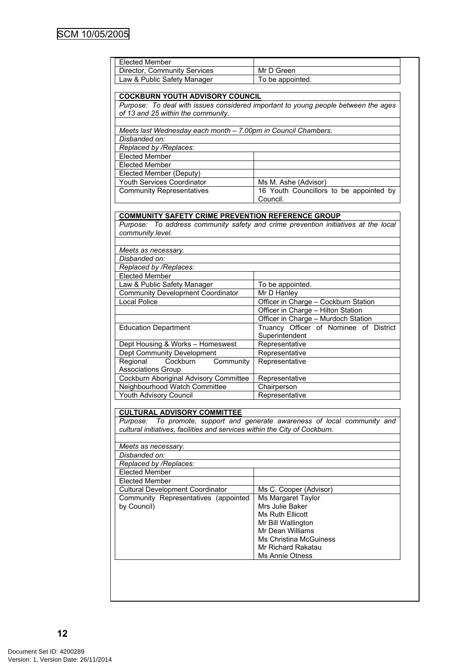| <b>Elected Member</b><br>Director, Community Services                                                                                            | Mr D Green                                                                              |
|--------------------------------------------------------------------------------------------------------------------------------------------------|-----------------------------------------------------------------------------------------|
| Law & Public Safety Manager                                                                                                                      | To be appointed.                                                                        |
|                                                                                                                                                  |                                                                                         |
| <b>COCKBURN YOUTH ADVISORY COUNCIL</b>                                                                                                           |                                                                                         |
|                                                                                                                                                  | Purpose: To deal with issues considered important to young people between the ages      |
| of 13 and 25 within the community.                                                                                                               |                                                                                         |
|                                                                                                                                                  |                                                                                         |
| Meets last Wednesday each month - 7.00pm in Council Chambers.                                                                                    |                                                                                         |
| Disbanded on:                                                                                                                                    |                                                                                         |
| Replaced by /Replaces:                                                                                                                           |                                                                                         |
| <b>Elected Member</b>                                                                                                                            |                                                                                         |
| <b>Elected Member</b>                                                                                                                            |                                                                                         |
| Elected Member (Deputy)                                                                                                                          |                                                                                         |
| Youth Services Coordinator                                                                                                                       | Ms M. Ashe (Advisor)                                                                    |
| <b>Community Representatives</b>                                                                                                                 | 16 Youth Councillors to be appointed by                                                 |
|                                                                                                                                                  | Council.                                                                                |
|                                                                                                                                                  |                                                                                         |
| <b>COMMUNITY SAFETY CRIME PREVENTION REFERENCE GROUP</b>                                                                                         |                                                                                         |
|                                                                                                                                                  |                                                                                         |
|                                                                                                                                                  | Purpose: To address community safety and crime prevention initiatives at the local      |
| community level.                                                                                                                                 |                                                                                         |
|                                                                                                                                                  |                                                                                         |
| Meets as necessary.                                                                                                                              |                                                                                         |
| Disbanded on:                                                                                                                                    |                                                                                         |
| Replaced by /Replaces:                                                                                                                           |                                                                                         |
| <b>Elected Member</b>                                                                                                                            |                                                                                         |
| Law & Public Safety Manager                                                                                                                      | To be appointed.                                                                        |
| <b>Community Development Coordinator</b>                                                                                                         | Mr D Hanley                                                                             |
| <b>Local Police</b>                                                                                                                              | Officer in Charge - Cockburn Station                                                    |
|                                                                                                                                                  | Officer in Charge - Hilton Station                                                      |
|                                                                                                                                                  | Officer in Charge - Murdoch Station                                                     |
| <b>Education Department</b>                                                                                                                      | Truancy Officer of Nominee of District                                                  |
|                                                                                                                                                  | Superintendent                                                                          |
| Dept Housing & Works - Homeswest                                                                                                                 | Representative                                                                          |
| Dept Community Development                                                                                                                       | Representative                                                                          |
| Regional<br>Cockburn<br>Community                                                                                                                | Representative                                                                          |
|                                                                                                                                                  |                                                                                         |
|                                                                                                                                                  |                                                                                         |
| <b>Associations Group</b>                                                                                                                        |                                                                                         |
| Cockburn Aboriginal Advisory Committee                                                                                                           | Representative                                                                          |
| Neighbourhood Watch Committee                                                                                                                    | Chairperson                                                                             |
| Youth Advisory Council                                                                                                                           | Representative                                                                          |
|                                                                                                                                                  |                                                                                         |
| <b>CULTURAL ADVISORY COMMITTEE</b>                                                                                                               |                                                                                         |
| Purpose:                                                                                                                                         |                                                                                         |
| cultural initiatives, facilities and services within the City of Cockburn.                                                                       |                                                                                         |
|                                                                                                                                                  |                                                                                         |
| Meets as necessary.                                                                                                                              |                                                                                         |
| Disbanded on:                                                                                                                                    |                                                                                         |
| Replaced by /Replaces:                                                                                                                           |                                                                                         |
|                                                                                                                                                  |                                                                                         |
|                                                                                                                                                  |                                                                                         |
|                                                                                                                                                  | Ms C. Cooper (Advisor)                                                                  |
|                                                                                                                                                  | Ms Margaret Taylor                                                                      |
|                                                                                                                                                  | Mrs Julie Baker                                                                         |
|                                                                                                                                                  | <b>Ms Ruth Ellicott</b>                                                                 |
| <b>Elected Member</b><br><b>Elected Member</b><br><b>Cultural Development Coordinator</b><br>Community Representatives (appointed<br>by Council) | Mr Bill Wallington                                                                      |
|                                                                                                                                                  | Mr Dean Williams                                                                        |
|                                                                                                                                                  | Ms Christina McGuiness                                                                  |
|                                                                                                                                                  | To promote, support and generate awareness of local community and<br>Mr Richard Rakatau |
|                                                                                                                                                  | <b>Ms Annie Otness</b>                                                                  |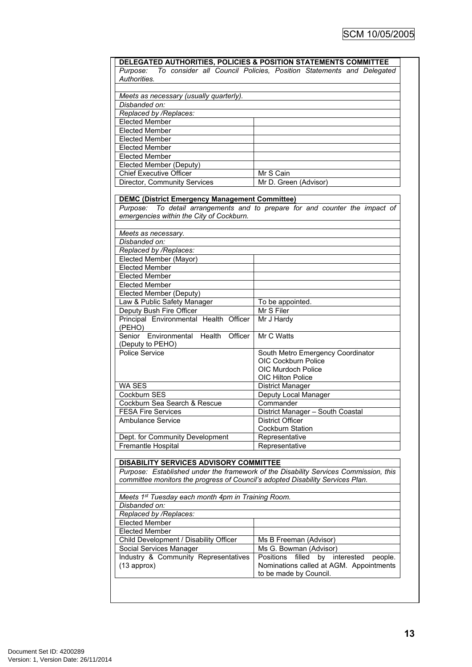|                                                                                 | DELEGATED AUTHORITIES, POLICIES & POSITION STATEMENTS COMMITTEE                      |  |  |
|---------------------------------------------------------------------------------|--------------------------------------------------------------------------------------|--|--|
| To consider all Council Policies, Position Statements and Delegated<br>Purpose: |                                                                                      |  |  |
| Authorities.                                                                    |                                                                                      |  |  |
|                                                                                 |                                                                                      |  |  |
| Meets as necessary (usually quarterly).                                         |                                                                                      |  |  |
| Disbanded on:                                                                   |                                                                                      |  |  |
| Replaced by /Replaces:                                                          |                                                                                      |  |  |
| <b>Elected Member</b>                                                           |                                                                                      |  |  |
| <b>Elected Member</b>                                                           |                                                                                      |  |  |
| <b>Elected Member</b>                                                           |                                                                                      |  |  |
| <b>Elected Member</b>                                                           |                                                                                      |  |  |
| <b>Elected Member</b>                                                           |                                                                                      |  |  |
| Elected Member (Deputy)                                                         |                                                                                      |  |  |
| <b>Chief Executive Officer</b>                                                  | Mr S Cain                                                                            |  |  |
| Director, Community Services                                                    | Mr D. Green (Advisor)                                                                |  |  |
|                                                                                 |                                                                                      |  |  |
| <b>DEMC (District Emergency Management Committee)</b>                           |                                                                                      |  |  |
|                                                                                 | Purpose: To detail arrangements and to prepare for and counter the impact of         |  |  |
| emergencies within the City of Cockburn.                                        |                                                                                      |  |  |
|                                                                                 |                                                                                      |  |  |
| Meets as necessary.                                                             |                                                                                      |  |  |
| Disbanded on:                                                                   |                                                                                      |  |  |
| Replaced by /Replaces:                                                          |                                                                                      |  |  |
| Elected Member (Mayor)                                                          |                                                                                      |  |  |
| <b>Elected Member</b>                                                           |                                                                                      |  |  |
| <b>Elected Member</b>                                                           |                                                                                      |  |  |
| <b>Elected Member</b>                                                           |                                                                                      |  |  |
| Elected Member (Deputy)                                                         |                                                                                      |  |  |
| Law & Public Safety Manager                                                     | To be appointed.                                                                     |  |  |
| Deputy Bush Fire Officer                                                        | Mr S Filer                                                                           |  |  |
| Principal Environmental Health Officer<br>(PEHO)                                | Mr J Hardy                                                                           |  |  |
| Senior Environmental Health<br>Officer<br>(Deputy to PEHO)                      | Mr C Watts                                                                           |  |  |
| Police Service                                                                  | South Metro Emergency Coordinator                                                    |  |  |
|                                                                                 | <b>OIC Cockburn Police</b>                                                           |  |  |
|                                                                                 | <b>OIC Murdoch Police</b>                                                            |  |  |
|                                                                                 | OIC Hilton Police                                                                    |  |  |
| WA SES                                                                          | <b>District Manager</b>                                                              |  |  |
| Cockburn SES                                                                    | Deputy Local Manager                                                                 |  |  |
| Cockburn Sea Search & Rescue                                                    | Commander                                                                            |  |  |
| <b>FESA Fire Services</b>                                                       | District Manager - South Coastal                                                     |  |  |
| Ambulance Service                                                               | <b>District Officer</b>                                                              |  |  |
|                                                                                 | Cockburn Station                                                                     |  |  |
| Dept. for Community Development                                                 | Representative                                                                       |  |  |
| Fremantle Hospital                                                              | Representative                                                                       |  |  |
|                                                                                 |                                                                                      |  |  |
| DISABILITY SERVICES ADVISORY COMMITTEE                                          |                                                                                      |  |  |
|                                                                                 | Purpose: Established under the framework of the Disability Services Commission, this |  |  |
| committee monitors the progress of Council's adopted Disability Services Plan.  |                                                                                      |  |  |
|                                                                                 |                                                                                      |  |  |
| Meets 1 <sup>st</sup> Tuesday each month 4pm in Training Room.                  |                                                                                      |  |  |
| Disbanded on:                                                                   |                                                                                      |  |  |
| Replaced by /Replaces:                                                          |                                                                                      |  |  |
| <b>Elected Member</b>                                                           |                                                                                      |  |  |
|                                                                                 |                                                                                      |  |  |
| <b>Elected Member</b>                                                           |                                                                                      |  |  |
|                                                                                 |                                                                                      |  |  |
| Child Development / Disability Officer                                          | Ms B Freeman (Advisor)                                                               |  |  |
| Social Services Manager                                                         | Ms G. Bowman (Advisor)<br>Positions                                                  |  |  |
| Industry & Community Representatives                                            | filled by interested<br>people.                                                      |  |  |
| $(13$ approx)                                                                   | Nominations called at AGM. Appointments<br>to be made by Council.                    |  |  |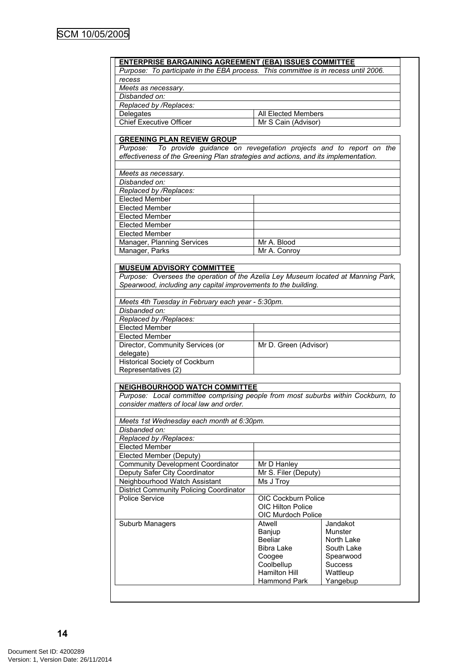| <b>ENTERPRISE BARGAINING AGREEMENT (EBA) ISSUES COMMITTEE</b>                                                                                                    |                                         |                      |
|------------------------------------------------------------------------------------------------------------------------------------------------------------------|-----------------------------------------|----------------------|
| Purpose: To participate in the EBA process. This committee is in recess until 2006.                                                                              |                                         |                      |
| recess                                                                                                                                                           |                                         |                      |
| Meets as necessary.                                                                                                                                              |                                         |                      |
| Disbanded on:                                                                                                                                                    |                                         |                      |
| Replaced by /Replaces:                                                                                                                                           |                                         |                      |
| Delegates                                                                                                                                                        | All Elected Members                     |                      |
| <b>Chief Executive Officer</b>                                                                                                                                   | Mr S Cain (Advisor)                     |                      |
|                                                                                                                                                                  |                                         |                      |
| <b>GREENING PLAN REVIEW GROUP</b>                                                                                                                                |                                         |                      |
| Purpose: To provide guidance on revegetation projects and to report on the<br>effectiveness of the Greening Plan strategies and actions, and its implementation. |                                         |                      |
| Meets as necessary.                                                                                                                                              |                                         |                      |
| Disbanded on:                                                                                                                                                    |                                         |                      |
| Replaced by /Replaces:                                                                                                                                           |                                         |                      |
| <b>Elected Member</b>                                                                                                                                            |                                         |                      |
| <b>Elected Member</b>                                                                                                                                            |                                         |                      |
| <b>Elected Member</b>                                                                                                                                            |                                         |                      |
| <b>Elected Member</b>                                                                                                                                            |                                         |                      |
| <b>Elected Member</b>                                                                                                                                            |                                         |                      |
| Manager, Planning Services                                                                                                                                       | Mr A. Blood                             |                      |
|                                                                                                                                                                  | Mr A. Conroy                            |                      |
| Manager, Parks                                                                                                                                                   |                                         |                      |
| <b>MUSEUM ADVISORY COMMITTEE</b>                                                                                                                                 |                                         |                      |
| Purpose: Oversees the operation of the Azelia Ley Museum located at Manning Park,                                                                                |                                         |                      |
| Spearwood, including any capital improvements to the building.                                                                                                   |                                         |                      |
|                                                                                                                                                                  |                                         |                      |
| Meets 4th Tuesday in February each year - 5:30pm.                                                                                                                |                                         |                      |
| Disbanded on:                                                                                                                                                    |                                         |                      |
| Replaced by /Replaces:                                                                                                                                           |                                         |                      |
| <b>Elected Member</b>                                                                                                                                            |                                         |                      |
| <b>Elected Member</b>                                                                                                                                            |                                         |                      |
| Director, Community Services (or<br>delegate)                                                                                                                    | Mr D. Green (Advisor)                   |                      |
| <b>Historical Society of Cockburn</b><br>Representatives (2)                                                                                                     |                                         |                      |
|                                                                                                                                                                  |                                         |                      |
| <b>NEIGHBOURHOOD WATCH COMMITTEE</b>                                                                                                                             |                                         |                      |
| Purpose: Local committee comprising people from most suburbs within Cockburn, to<br>consider matters of local law and order.                                     |                                         |                      |
|                                                                                                                                                                  |                                         |                      |
| Meets 1st Wednesday each month at 6:30pm.                                                                                                                        |                                         |                      |
| Disbanded on:                                                                                                                                                    |                                         |                      |
| Replaced by /Replaces:                                                                                                                                           |                                         |                      |
| <b>Elected Member</b>                                                                                                                                            |                                         |                      |
| Elected Member (Deputy)                                                                                                                                          |                                         |                      |
| <b>Community Development Coordinator</b>                                                                                                                         | Mr D Hanley                             |                      |
| Deputy Safer City Coordinator                                                                                                                                    | Mr S. Filer (Deputy)                    |                      |
| Neighbourhood Watch Assistant                                                                                                                                    | Ms J Troy                               |                      |
| <b>District Community Policing Coordinator</b>                                                                                                                   |                                         |                      |
| Police Service                                                                                                                                                   | OIC Cockburn Police                     |                      |
|                                                                                                                                                                  | OIC Hilton Police<br>OIC Murdoch Police |                      |
|                                                                                                                                                                  |                                         |                      |
| Suburb Managers                                                                                                                                                  | Atwell                                  | Jandakot             |
|                                                                                                                                                                  | Banjup                                  | Munster              |
|                                                                                                                                                                  | Beeliar                                 | North Lake           |
|                                                                                                                                                                  | <b>Bibra Lake</b>                       | South Lake           |
|                                                                                                                                                                  |                                         |                      |
|                                                                                                                                                                  | Coogee                                  | Spearwood            |
|                                                                                                                                                                  | Coolbellup                              | <b>Success</b>       |
|                                                                                                                                                                  | <b>Hamilton Hill</b><br>Hammond Park    | Wattleup<br>Yangebup |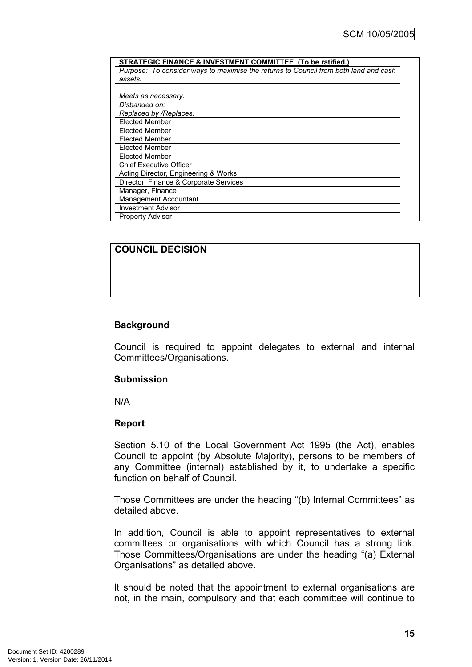| STRATEGIC FINANCE & INVESTMENT COMMITTEE (To be ratified.) |                                                                                      |
|------------------------------------------------------------|--------------------------------------------------------------------------------------|
|                                                            | Purpose: To consider ways to maximise the returns to Council from both land and cash |
| assets.                                                    |                                                                                      |
|                                                            |                                                                                      |
| Meets as necessary.                                        |                                                                                      |
| Disbanded on:                                              |                                                                                      |
| Replaced by /Replaces:                                     |                                                                                      |
| <b>Elected Member</b>                                      |                                                                                      |
| <b>Elected Member</b>                                      |                                                                                      |
| <b>Elected Member</b>                                      |                                                                                      |
| <b>Elected Member</b>                                      |                                                                                      |
| <b>Elected Member</b>                                      |                                                                                      |
| <b>Chief Executive Officer</b>                             |                                                                                      |
| Acting Director, Engineering & Works                       |                                                                                      |
| Director, Finance & Corporate Services                     |                                                                                      |
| Manager, Finance                                           |                                                                                      |
| Management Accountant                                      |                                                                                      |
| <b>Investment Advisor</b>                                  |                                                                                      |
| <b>Property Advisor</b>                                    |                                                                                      |

#### **COUNCIL DECISION**

#### **Background**

Council is required to appoint delegates to external and internal Committees/Organisations.

#### **Submission**

N/A

#### **Report**

Section 5.10 of the Local Government Act 1995 (the Act), enables Council to appoint (by Absolute Majority), persons to be members of any Committee (internal) established by it, to undertake a specific function on behalf of Council.

Those Committees are under the heading "(b) Internal Committees" as detailed above.

In addition, Council is able to appoint representatives to external committees or organisations with which Council has a strong link. Those Committees/Organisations are under the heading "(a) External Organisations" as detailed above.

It should be noted that the appointment to external organisations are not, in the main, compulsory and that each committee will continue to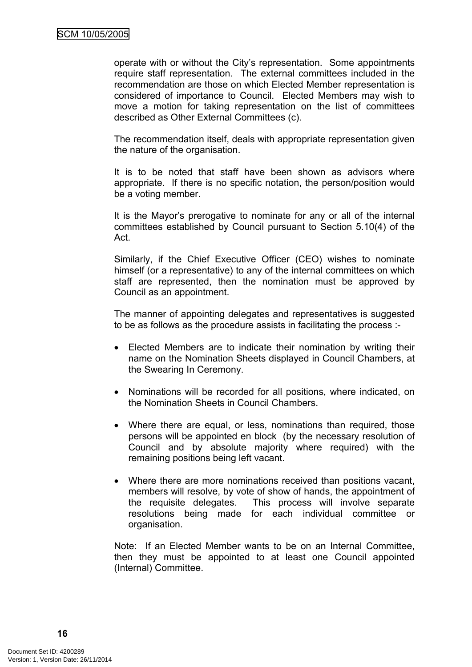operate with or without the City's representation. Some appointments require staff representation. The external committees included in the recommendation are those on which Elected Member representation is considered of importance to Council. Elected Members may wish to move a motion for taking representation on the list of committees described as Other External Committees (c).

The recommendation itself, deals with appropriate representation given the nature of the organisation.

It is to be noted that staff have been shown as advisors where appropriate. If there is no specific notation, the person/position would be a voting member.

It is the Mayor's prerogative to nominate for any or all of the internal committees established by Council pursuant to Section 5.10(4) of the Act.

Similarly, if the Chief Executive Officer (CEO) wishes to nominate himself (or a representative) to any of the internal committees on which staff are represented, then the nomination must be approved by Council as an appointment.

The manner of appointing delegates and representatives is suggested to be as follows as the procedure assists in facilitating the process :-

- Elected Members are to indicate their nomination by writing their name on the Nomination Sheets displayed in Council Chambers, at the Swearing In Ceremony.
- Nominations will be recorded for all positions, where indicated, on the Nomination Sheets in Council Chambers.
- Where there are equal, or less, nominations than required, those persons will be appointed en block (by the necessary resolution of Council and by absolute majority where required) with the remaining positions being left vacant.
- Where there are more nominations received than positions vacant, members will resolve, by vote of show of hands, the appointment of the requisite delegates. This process will involve separate resolutions being made for each individual committee or organisation.

Note: If an Elected Member wants to be on an Internal Committee, then they must be appointed to at least one Council appointed (Internal) Committee.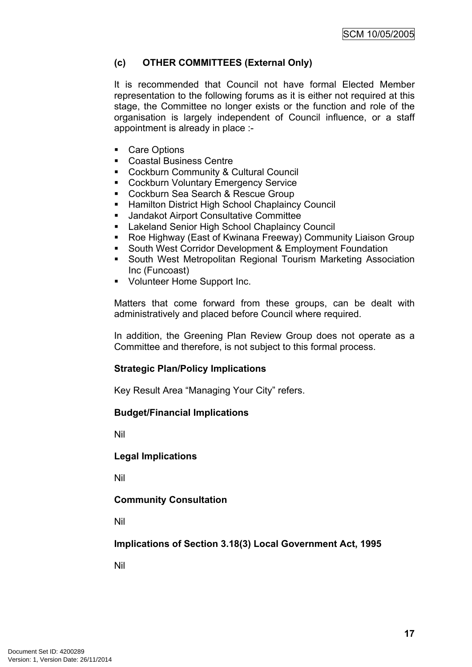# **(c) OTHER COMMITTEES (External Only)**

It is recommended that Council not have formal Elected Member representation to the following forums as it is either not required at this stage, the Committee no longer exists or the function and role of the organisation is largely independent of Council influence, or a staff appointment is already in place :-

- Care Options
- Coastal Business Centre
- **EXECOCKBUTH Community & Cultural Council**
- **EXECOCKBURN Voluntary Emergency Service**
- **Cockburn Sea Search & Rescue Group**
- **Hamilton District High School Chaplaincy Council**
- Jandakot Airport Consultative Committee
- **E** Lakeland Senior High School Chaplaincy Council
- Roe Highway (East of Kwinana Freeway) Community Liaison Group
- **South West Corridor Development & Employment Foundation**
- South West Metropolitan Regional Tourism Marketing Association Inc (Funcoast)
- **Volunteer Home Support Inc.**

Matters that come forward from these groups, can be dealt with administratively and placed before Council where required.

In addition, the Greening Plan Review Group does not operate as a Committee and therefore, is not subject to this formal process.

#### **Strategic Plan/Policy Implications**

Key Result Area "Managing Your City" refers.

#### **Budget/Financial Implications**

Nil

#### **Legal Implications**

Nil

#### **Community Consultation**

Nil

**Implications of Section 3.18(3) Local Government Act, 1995**

Nil